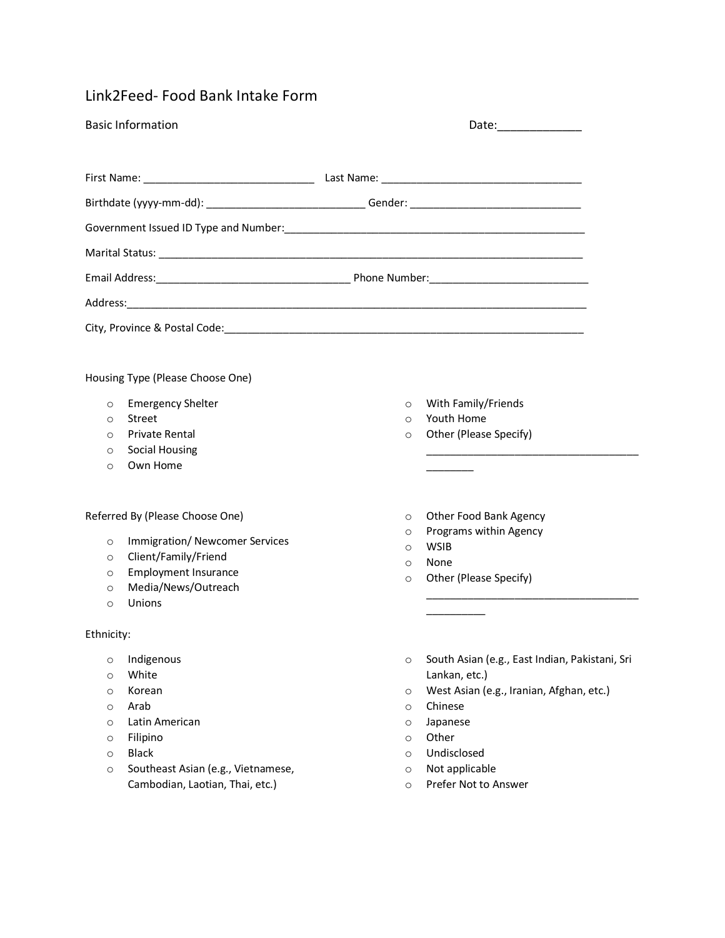## Link2Feed- Food Bank Intake Form

|                                                                                | <b>Basic Information</b>                                                                                                                                     |                                                                                |                                                                                                                                                                                                      |  |  |
|--------------------------------------------------------------------------------|--------------------------------------------------------------------------------------------------------------------------------------------------------------|--------------------------------------------------------------------------------|------------------------------------------------------------------------------------------------------------------------------------------------------------------------------------------------------|--|--|
|                                                                                |                                                                                                                                                              |                                                                                |                                                                                                                                                                                                      |  |  |
|                                                                                |                                                                                                                                                              |                                                                                |                                                                                                                                                                                                      |  |  |
|                                                                                |                                                                                                                                                              |                                                                                |                                                                                                                                                                                                      |  |  |
|                                                                                |                                                                                                                                                              |                                                                                |                                                                                                                                                                                                      |  |  |
|                                                                                |                                                                                                                                                              |                                                                                |                                                                                                                                                                                                      |  |  |
|                                                                                |                                                                                                                                                              |                                                                                |                                                                                                                                                                                                      |  |  |
|                                                                                |                                                                                                                                                              |                                                                                |                                                                                                                                                                                                      |  |  |
|                                                                                | Housing Type (Please Choose One)                                                                                                                             |                                                                                |                                                                                                                                                                                                      |  |  |
| $\circ$<br>$\circ$<br>$\circ$<br>$\circ$<br>$\circ$                            | <b>Emergency Shelter</b><br>Street<br><b>Private Rental</b><br><b>Social Housing</b><br>Own Home                                                             | $\circ$<br>$\circ$<br>$\circ$                                                  | With Family/Friends<br>Youth Home<br>Other (Please Specify)                                                                                                                                          |  |  |
| $\circ$<br>$\circ$<br>$\circ$<br>$\circ$<br>$\circ$                            | Referred By (Please Choose One)<br>Immigration/ Newcomer Services<br>Client/Family/Friend<br><b>Employment Insurance</b><br>Media/News/Outreach<br>Unions    | $\circ$<br>$\circ$<br>$\circ$<br>$\circ$<br>$\circ$                            | Other Food Bank Agency<br>Programs within Agency<br><b>WSIB</b><br>None<br>Other (Please Specify)                                                                                                    |  |  |
| Ethnicity:                                                                     |                                                                                                                                                              |                                                                                |                                                                                                                                                                                                      |  |  |
| O<br>$\circ$<br>$\circ$<br>$\circ$<br>$\circ$<br>$\circ$<br>$\circ$<br>$\circ$ | Indigenous<br>White<br>Korean<br>Arab<br>Latin American<br>Filipino<br><b>Black</b><br>Southeast Asian (e.g., Vietnamese,<br>Cambodian, Laotian, Thai, etc.) | $\circ$<br>O<br>$\circ$<br>$\circ$<br>$\circ$<br>$\circ$<br>$\circ$<br>$\circ$ | South Asian (e.g., East Indian, Pakistani, Sri<br>Lankan, etc.)<br>West Asian (e.g., Iranian, Afghan, etc.)<br>Chinese<br>Japanese<br>Other<br>Undisclosed<br>Not applicable<br>Prefer Not to Answer |  |  |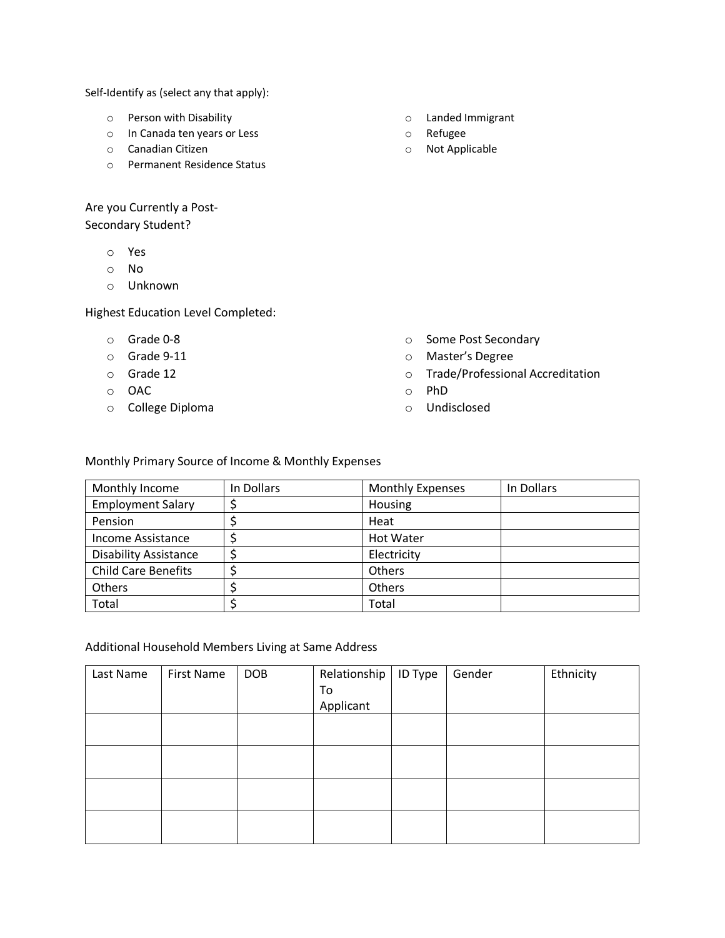Self-Identify as (select any that apply):

- o Person with Disability
- o In Canada ten years or Less
- o Canadian Citizen
- o Permanent Residence Status

Are you Currently a Post-

Secondary Student?

- o Yes
- o No
- o Unknown

Highest Education Level Completed:

- o Grade 0-8
- o Grade 9-11
- o Grade 12
- o OAC
- o College Diploma
- o Landed Immigrant
- o Refugee
- o Not Applicable

- o Some Post Secondary
- o Master's Degree
- o Trade/Professional Accreditation
- o PhD
- o Undisclosed

## Monthly Primary Source of Income & Monthly Expenses

| Monthly Income               | In Dollars | <b>Monthly Expenses</b> | In Dollars |
|------------------------------|------------|-------------------------|------------|
| <b>Employment Salary</b>     |            | Housing                 |            |
| Pension                      |            | Heat                    |            |
| Income Assistance            |            | <b>Hot Water</b>        |            |
| <b>Disability Assistance</b> |            | Electricity             |            |
| <b>Child Care Benefits</b>   |            | Others                  |            |
| Others                       |            | <b>Others</b>           |            |
| Total                        |            | Total                   |            |

## Additional Household Members Living at Same Address

| Last Name | First Name | <b>DOB</b> | Relationship   ID Type | Gender | Ethnicity |
|-----------|------------|------------|------------------------|--------|-----------|
|           |            |            | To                     |        |           |
|           |            |            | Applicant              |        |           |
|           |            |            |                        |        |           |
|           |            |            |                        |        |           |
|           |            |            |                        |        |           |
|           |            |            |                        |        |           |
|           |            |            |                        |        |           |
|           |            |            |                        |        |           |
|           |            |            |                        |        |           |
|           |            |            |                        |        |           |